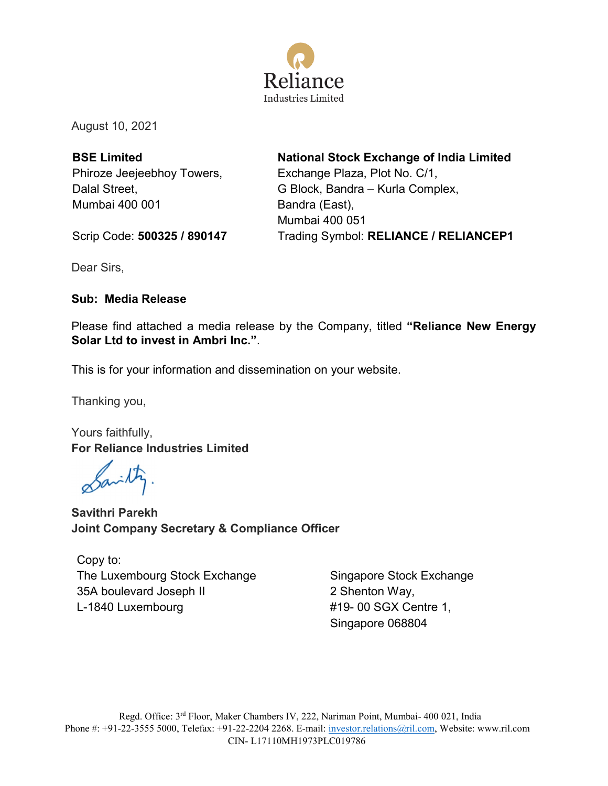

August 10, 2021

**BSE Limited** Phiroze Jeejeebhoy Towers, Dalal Street, Mumbai 400 001

**National Stock Exchange of India Limited** Exchange Plaza, Plot No. C/1, G Block, Bandra – Kurla Complex, Bandra (East), Mumbai 400 051 Trading Symbol: **RELIANCE / RELIANCEP1**

Scrip Code: **500325 / 890147**

Dear Sirs,

### **Sub: Media Release**

Please find attached a media release by the Company, titled **"Reliance New Energy Solar Ltd to invest in Ambri Inc."**.

This is for your information and dissemination on your website.

Thanking you,

Yours faithfully, **For Reliance Industries Limited**

Sanity

**Savithri Parekh Joint Company Secretary & Compliance Officer**

Copy to: The Luxembourg Stock Exchange 35A boulevard Joseph II L-1840 Luxembourg

Singapore Stock Exchange 2 Shenton Way, #19- 00 SGX Centre 1, Singapore 068804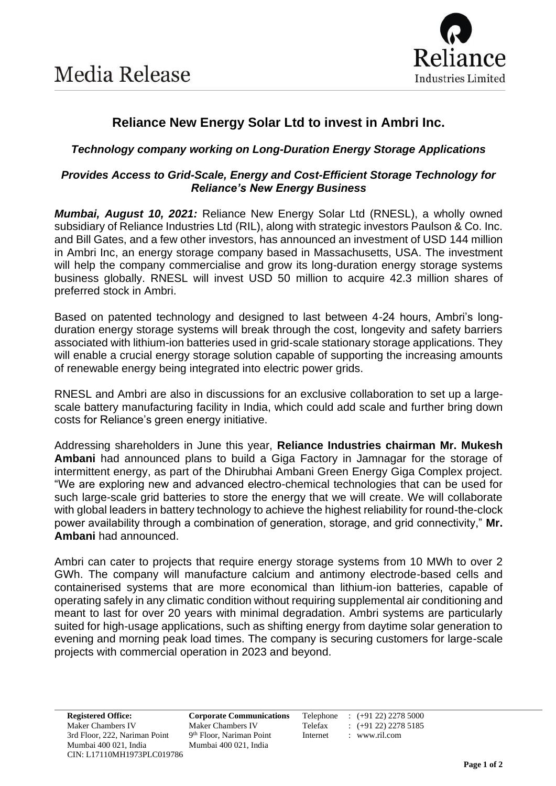

# **Reliance New Energy Solar Ltd to invest in Ambri Inc.**

## *Technology company working on Long-Duration Energy Storage Applications*

### *Provides Access to Grid-Scale, Energy and Cost-Efficient Storage Technology for Reliance's New Energy Business*

*Mumbai, August 10, 2021:* Reliance New Energy Solar Ltd (RNESL), a wholly owned subsidiary of Reliance Industries Ltd (RIL), along with strategic investors Paulson & Co. Inc. and Bill Gates, and a few other investors, has announced an investment of USD 144 million in Ambri Inc, an energy storage company based in Massachusetts, USA. The investment will help the company commercialise and grow its long-duration energy storage systems business globally. RNESL will invest USD 50 million to acquire 42.3 million shares of preferred stock in Ambri.

Based on patented technology and designed to last between 4-24 hours, Ambri's longduration energy storage systems will break through the cost, longevity and safety barriers associated with lithium-ion batteries used in grid-scale stationary storage applications. They will enable a crucial energy storage solution capable of supporting the increasing amounts of renewable energy being integrated into electric power grids.

RNESL and Ambri are also in discussions for an exclusive collaboration to set up a largescale battery manufacturing facility in India, which could add scale and further bring down costs for Reliance's green energy initiative.

Addressing shareholders in June this year, **Reliance Industries chairman Mr. Mukesh Ambani** had announced plans to build a Giga Factory in Jamnagar for the storage of intermittent energy, as part of the Dhirubhai Ambani Green Energy Giga Complex project. "We are exploring new and advanced electro-chemical technologies that can be used for such large-scale grid batteries to store the energy that we will create. We will collaborate with global leaders in battery technology to achieve the highest reliability for round-the-clock power availability through a combination of generation, storage, and grid connectivity," **Mr. Ambani** had announced.

Ambri can cater to projects that require energy storage systems from 10 MWh to over 2 GWh. The company will manufacture calcium and antimony electrode-based cells and containerised systems that are more economical than lithium-ion batteries, capable of operating safely in any climatic condition without requiring supplemental air conditioning and meant to last for over 20 years with minimal degradation. Ambri systems are particularly suited for high-usage applications, such as shifting energy from daytime solar generation to evening and morning peak load times. The company is securing customers for large-scale projects with commercial operation in 2023 and beyond.

9<sup>th</sup> Floor, Nariman Point Internet : www.ril.com

**Registered Office: Corporate Communications** Telephone : (+91 22) 2278 5000